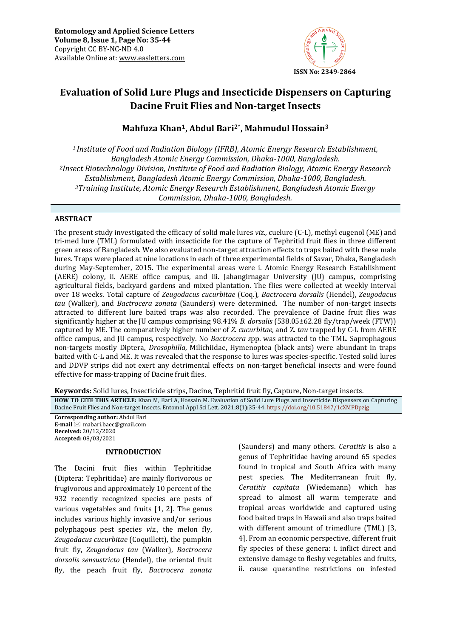

# **Evaluation of Solid Lure Plugs and Insecticide Dispensers on Capturing Dacine Fruit Flies and Non-target Insects**

## **Mahfuza Khan1, Abdul Bari2\*, Mahmudul Hossain<sup>3</sup>**

*<sup>1</sup>Institute of Food and Radiation Biology (IFRB), Atomic Energy Research Establishment, Bangladesh Atomic Energy Commission, Dhaka-1000, Bangladesh. <sup>2</sup>Insect Biotechnology Division, Institute of Food and Radiation Biology, Atomic Energy Research Establishment, Bangladesh Atomic Energy Commission, Dhaka-1000, Bangladesh. <sup>3</sup>Training Institute, Atomic Energy Research Establishment, Bangladesh Atomic Energy Commission, Dhaka-1000, Bangladesh.*

## **ABSTRACT**

The present study investigated the efficacy of solid male lures *viz.*, cuelure (C-L), methyl eugenol (ME) and tri-med lure (TML) formulated with insecticide for the capture of Tephritid fruit flies in three different green areas of Bangladesh. We also evaluated non-target attraction effects to traps baited with these male lures. Traps were placed at nine locations in each of three experimental fields of Savar, Dhaka, Bangladesh during May-September, 2015. The experimental areas were i. Atomic Energy Research Establishment (AERE) colony, ii. AERE office campus, and iii. Jahangirnagar University (JU) campus, comprising agricultural fields, backyard gardens and mixed plantation. The flies were collected at weekly interval over 18 weeks. Total capture of *Zeugodacus cucurbitae* (Coq.), *Bactrocera dorsalis* (Hendel), *Zeugodacus tau* (Walker), and *Bactrocera zonata* (Saunders) were determined. The number of non-target insects attracted to different lure baited traps was also recorded. The prevalence of Dacine fruit flies was significantly higher at the JU campus comprising 98.41% *B. dorsalis* (538.05±62.28 fly/trap/week (FTW)) captured by ME. The comparatively higher number of *Z. cucurbitae,* and Z*. tau* trapped by C-L from AERE office campus, and JU campus, respectively. No *Bactrocera s*pp. was attracted to the TML. Saprophagous non-targets mostly Diptera, *Drosophilla*, Milichiidae, Hymenoptea (black ants) were abundant in traps baited with C-L and ME. It was revealed that the response to lures was species-specific. Tested solid lures and DDVP strips did not exert any detrimental effects on non-target beneficial insects and were found effective for mass-trapping of Dacine fruit flies.

**Keywords:** Solid lures, Insecticide strips, Dacine, Tephritid fruit fly, Capture, Non-target insects*.*

**HOW TO CITE THIS ARTICLE:** Khan M, Bari A, Hossain M. Evaluation of Solid Lure Plugs and Insecticide Dispensers on Capturing Dacine Fruit Flies and Non-target Insects. Entomol Appl Sci Lett. 2021;8(1):35-44. <https://doi.org/10.51847/1cXMPDpzjg>

**Corresponding author:** Abdul Bari **E-mail** ⊠ mabari.baec@gmail.com **Received:** 20/12/2020 **Accepted:** 08/03/2021

### **INTRODUCTION**

The Dacini fruit flies within Tephritidae (Diptera: Tephritidae) are mainly florivorous or frugivorous and approximately 10 percent of the 932 recently recognized species are pests of various vegetables and fruits [1, 2]. The genus includes various highly invasive and/or serious polyphagous pest species *viz.*, the melon fly, *Zeugodacus cucurbitae* (Coquillett), the pumpkin fruit fly, *Zeugodacus tau* (Walker), *Bactrocera dorsalis sensustricto* (Hendel), the oriental fruit fly, the peach fruit fly, *Bactrocera zonata*

(Saunders) and many others. *Ceratitis* is also a genus of Tephritidae having around 65 species found in tropical and South Africa with many pest species. The Mediterranean fruit fly, *Ceratitis capitata* (Wiedemann) which has spread to almost all warm temperate and tropical areas worldwide and captured using food baited traps in Hawaii and also traps baited with different amount of trimedlure (TML) [3, 4]. From an economic perspective, different fruit fly species of these genera: i. inflict direct and extensive damage to fleshy vegetables and fruits, ii. cause quarantine restrictions on infested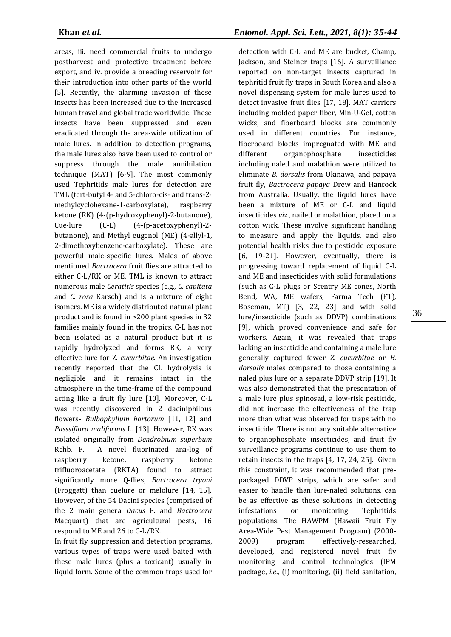areas, iii. need commercial fruits to undergo postharvest and protective treatment before export, and iv. provide a breeding reservoir for their introduction into other parts of the world [5]. Recently, the alarming invasion of these insects has been increased due to the increased human travel and global trade worldwide. These insects have been suppressed and even eradicated through the area-wide utilization of male lures. In addition to detection programs, the male lures also have been used to control or suppress through the male annihilation technique (MAT) [6-9]. The most commonly used Tephritids male lures for detection are TML (tert-butyl 4- and 5-chloro-cis- and trans-2 methylcyclohexane-1-carboxylate), raspberry ketone (RK) (4-(p-hydroxyphenyl)-2-butanone), Cue-lure (C-L) (4-(p-acetoxyphenyl)-2 butanone), and Methyl eugenol (ME) (4-allyl-1, 2-dimethoxybenzene-carboxylate). These are powerful male-specific lures. Males of above mentioned *Bactrocera* fruit flies are attracted to either C-L/RK or ME. TML is known to attract numerous male *Ceratitis* species (e.g., *C. capitata* and *C. rosa* Karsch) and is a mixture of eight isomers. ME is a widely distributed natural plant product and is found in >200 plant species in 32 families mainly found in the tropics. C-L has not been isolated as a natural product but it is rapidly hydrolyzed and forms RK, a very effective lure for Z. *cucurbitae*. An investigation recently reported that the CL hydrolysis is negligible and it remains intact in the atmosphere in the time-frame of the compound acting like a fruit fly lure [10]. Moreover, C-L was recently discovered in 2 daciniphilous flowers- *Bulbophyllum hortorum* [11, 12] and *Passsiflora maliformis* L. [13]. However, RK was isolated originally from *Dendrobium superbum*  Rchb. F. A novel fluorinated ana-log of raspberry ketone, raspberry ketone trifluoroacetate (RKTA) found to attract significantly more Q-flies, *Bactrocera tryoni* (Froggatt) than cuelure or melolure [14, 15]. However, of the 54 Dacini species (comprised of the 2 main genera *Dacus* F. and *Bactrocera*  Macquart) that are agricultural pests, 16 respond to ME and 26 to C-L/RK.

In fruit fly suppression and detection programs, various types of traps were used baited with these male lures (plus a toxicant) usually in liquid form. Some of the common traps used for

detection with C-L and ME are bucket, Champ, Jackson, and Steiner traps [16]. A surveillance reported on non-target insects captured in tephritid fruit fly traps in South Korea and also a novel dispensing system for male lures used to detect invasive fruit flies [17, 18]. MAT carriers including molded paper fiber, Min-U-Gel, cotton wicks, and fiberboard blocks are commonly used in different countries. For instance, fiberboard blocks impregnated with ME and different organophosphate insecticides including naled and malathion were utilized to eliminate *B. dorsalis* from Okinawa, and papaya fruit fly, *Bactrocera papaya* Drew and Hancock from Australia. Usually, the liquid lures have been a mixture of ME or C-L and liquid insecticides *viz.*, nailed or malathion, placed on a cotton wick. These involve significant handling to measure and apply the liquids, and also potential health risks due to pesticide exposure [6, 19-21]. However, eventually, there is progressing toward replacement of liquid C-L and ME and insecticides with solid formulations (such as C-L plugs or Scentry ME cones, North Bend, WA, ME wafers, Farma Tech (FT), Boseman, MT) [3, 22, 23] and with solid lure/insecticide (such as DDVP) combinations [9], which proved convenience and safe for workers. Again, it was revealed that traps lacking an insecticide and containing a male lure generally captured fewer *Z. cucurbitae* or *B*. *dorsalis* males compared to those containing a naled plus lure or a separate DDVP strip [19]. It was also demonstrated that the presentation of a male lure plus spinosad, a low-risk pesticide, did not increase the effectiveness of the trap more than what was observed for traps with no insecticide. There is not any suitable alternative to organophosphate insecticides, and fruit fly surveillance programs continue to use them to retain insects in the traps [4, 17, 24, 25]. 'Given this constraint, it was recommended that prepackaged DDVP strips, which are safer and easier to handle than lure-naled solutions, can be as effective as these solutions in detecting infestations or monitoring Tephritids populations. The HAWPM (Hawaii Fruit Fly Area-Wide Pest Management Program) (2000- 2009) program effectively-researched, developed, and registered novel fruit fly monitoring and control technologies (IPM package, *i.e*., (i) monitoring, (ii) field sanitation,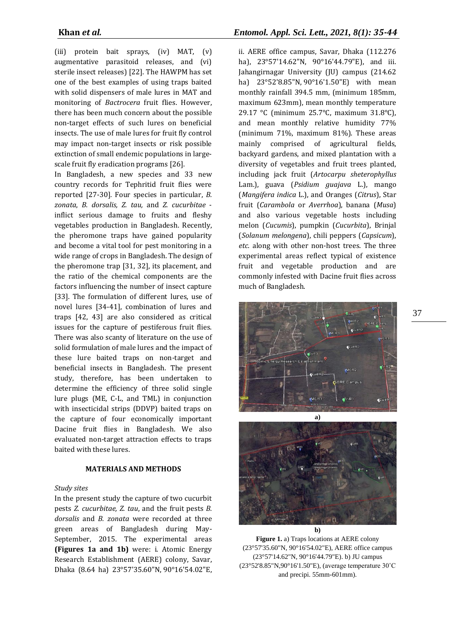(iii) protein bait sprays, (iv) MAT, (v) augmentative parasitoid releases, and (vi) sterile insect releases) [22]. The HAWPM has set one of the best examples of using traps baited with solid dispensers of male lures in MAT and monitoring of *Bactrocera* fruit flies. However, there has been much concern about the possible non-target effects of such lures on beneficial insects. The use of male lures for fruit fly control may impact non-target insects or risk possible extinction of small endemic populations in largescale fruit fly eradication programs [26].

In Bangladesh, a new species and 33 new country records for Tephritid fruit flies were reported [27-30]*.* Four species in particular, *B. zonata*, *B. dorsalis, Z. tau,* and *Z. cucurbitae* inflict serious damage to fruits and fleshy vegetables production in Bangladesh. Recently, the pheromone traps have gained popularity and become a vital tool for pest monitoring in a wide range of crops in Bangladesh. The design of the pheromone trap [31, 32], its placement, and the ratio of the chemical components are the factors influencing the number of insect capture [33]. The formulation of different lures, use of novel lures [34-41], combination of lures and traps [42, 43] are also considered as critical issues for the capture of pestiferous fruit flies. There was also scanty of literature on the use of solid formulation of male lures and the impact of these lure baited traps on non-target and beneficial insects in Bangladesh. The present study, therefore, has been undertaken to determine the efficiency of three solid single lure plugs (ME, C-L, and TML) in conjunction with insecticidal strips (DDVP) baited traps on the capture of four economically important Dacine fruit flies in Bangladesh. We also evaluated non-target attraction effects to traps baited with these lures.

#### **MATERIALS AND METHODS**

#### *Study sites*

In the present study the capture of two cucurbit pests *Z. cucurbitae, Z. tau*, and the fruit pests *B. dorsalis* and *B. zonata* were recorded at three green areas of Bangladesh during May-September, 2015. The experimental areas **(Figures 1a and 1b)** were: i. Atomic Energy Research Establishment (AERE) colony, Savar, Dhaka (8.64 ha) 23°57'35.60"N, 90°16'54.02"E,

ii. AERE office campus, Savar, Dhaka (112.276 ha), 23°57'14.62"N, 90°16'44.79"E), and iii. Jahangirnagar University (JU) campus (214.62 ha) 23°52'8.85"N, 90°16'1.50"E) with mean monthly rainfall 394.5 mm, (minimum 185mm, maximum 623mm), mean monthly temperature 29.17 °C (minimum 25.7°C, maximum 31.8°C), and mean monthly relative humidity 77% (minimum 71%, maximum 81%). These areas mainly comprised of agricultural fields, backyard gardens, and mixed plantation with a diversity of vegetables and fruit trees planted, including jack fruit (*Artocarpu sheterophyllus* Lam.), guava (*Psidium guajava* L.), mango (*Mangifera indica* L.), and Oranges (*Citrus*), Star fruit (*Carambola* or *Averrhoa*), banana (*Musa*) and also various vegetable hosts including melon (*Cucumis*), pumpkin (*Cucurbita*), Brinjal (*Solanum melongena*), chili peppers (*Capsicum*), *etc*. along with other non-host trees. The three experimental areas reflect typical of existence fruit and vegetable production and are commonly infested with Dacine fruit flies across much of Bangladesh.



**Figure 1.** a) Traps locations at AERE colony (23°57'35.60"N, 90°16'54.02"E), AERE office campus (23°57'14.62"N, 90°16'44.79"E). b) JU campus (23°52'8.85"N,90°16'1.50"E), (average temperature 30˚C and precipi. 55mm-601mm).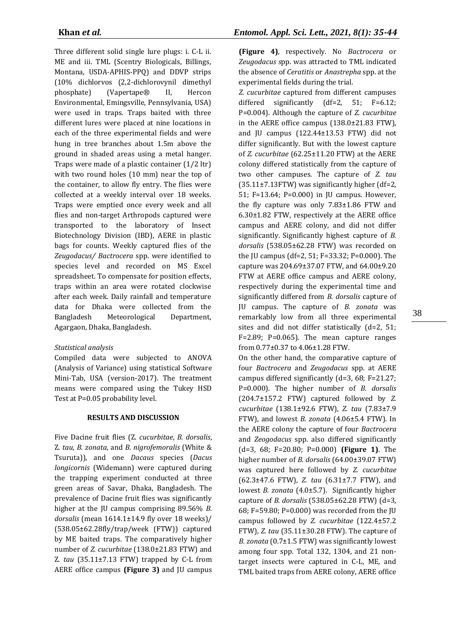Three different solid single lure plugs: i. C-L ii. ME and iii. TML (Scentry Biologicals, Billings, Montana, USDA-APHIS-PPQ) and DDVP strips (10% dichlorvos (2,2-dichlorovynil dimethyl phosphate) (Vapertape® II, Hercon Environmental, Emingsville, Pennsylvania, USA) were used in traps. Traps baited with three different lures were placed at nine locations in each of the three experimental fields and were hung in tree branches about 1.5m above the ground in shaded areas using a metal hanger. Traps were made of a plastic container (1/2 ltr) with two round holes (10 mm) near the top of the container, to allow fly entry. The flies were collected at a weekly interval over 18 weeks. Traps were emptied once every week and all flies and non-target Arthropods captured were transported to the laboratory of Insect Biotechnology Division (IBD), AERE in plastic bags for counts. Weekly captured flies of the *Zeugodacus/ Bactrocera* spp. were identified to species level and recorded on MS Excel spreadsheet. To compensate for position effects, traps within an area were rotated clockwise after each week. Daily rainfall and temperature data for Dhaka were collected from the Bangladesh Meteorological Department, Agargaon, Dhaka, Bangladesh.

## *Statistical analysis*

Compiled data were subjected to ANOVA (Analysis of Variance) using statistical Software Mini-Tab, USA (version-2017). The treatment means were compared using the Tukey HSD Test at P=0.05 probability level.

## **RESULTS AND DISCUSSION**

Five Dacine fruit flies (Z. *cucurbitae*, *B. dorsalis*, Z. *tau*, *B. zonata*, and *B. nigrofemoralis* (White & Tsuruta)), and one *Dacaus* species (*Dacus longicornis* (Widemann) were captured during the trapping experiment conducted at three green areas of Savar, Dhaka, Bangladesh. The prevalence of Dacine fruit flies was significantly higher at the JU campus comprising 89.56% *B. dorsalis* (mean 1614.1±14.9 fly over 18 weeks)/ (538.05±62.28fly/trap/week (FTW)) captured by ME baited traps. The comparatively higher number of *Z. cucurbitae* (138.0±21.83 FTW) and Z*. tau* (35.11±7.13 FTW) trapped by C-L from AERE office campus **(Figure 3)** and JU campus

**(Figure 4)**, respectively. No *Bactrocera* or *Zeugodacus s*pp. was attracted to TML indicated the absence of *Ceratitis* or *Anastrepha* spp. at the experimental fields during the trial.

*Z. cucurbitae* captured from different campuses differed significantly (df=2, 51; F=6.12; P=0.004). Although the capture of *Z. cucurbitae*  in the AERE office campus (138.0±21.83 FTW), and JU campus (122.44±13.53 FTW) did not differ significantly. But with the lowest capture of *Z. cucurbitae* (62.25±11.20 FTW) at the AERE colony differed statistically from the capture of two other campuses. The capture of *Z. tau*  $(35.11\pm7.13$  FTW) was significantly higher (df=2, 51; F=13.64; P=0.000) in JU campus. However, the fly capture was only 7.83±1.86 FTW and 6.30±1.82 FTW, respectively at the AERE office campus and AERE colony, and did not differ significantly. Significantly highest capture of *B. dorsalis* (538.05±62.28 FTW) was recorded on the JU campus (df=2, 51; F=33.32; P=0.000). The capture was 204.69±37.07 FTW, and 64.00±9.20 FTW at AERE office campus and AERE colony, respectively during the experimental time and significantly differed from *B. dorsalis* capture of JU campus. The capture of *B. zonata* was remarkably low from all three experimental sites and did not differ statistically (d=2, 51;  $F=2.89$ ; P=0.065). The mean capture ranges from 0.77±0.37 to 4.06±1.28 FTW.

On the other hand, the comparative capture of four *Bactrocera* and *Zeugodacus* spp. at AERE campus differed significantly (d=3, 68; F=21.27; P=0.000). The higher number of *B. dorsalis* (204.7±157.2 FTW) captured followed by *Z. cucurbitae* (138.1±92.6 FTW), *Z. tau* (7.83±7.9 FTW), and lowest *B. zonata* (4.06±5.4 FTW). In the AERE colony the capture of four *Bactrocera* and *Zeogodacus* spp. also differed significantly (d=3, 68; F=20.80; P=0.000) **(Figure 1)**. The higher number of *B. dorsalis* (64.00±39.07 FTW) was captured here followed by *Z. cucurbitae* (62.3±47.6 FTW), *Z. tau* (6.31±7.7 FTW), and lowest *B. zonata* (4.0±5.7). Significantly higher capture of *B. dorsalis* (538.05±62.28 FTW) (d=3, 68; F=59.80; P=0.000) was recorded from the JU campus followed by *Z. cucurbitae* (122.4±57.2 FTW), *Z. tau* (35.11±30.28 FTW). The capture of *B. zonata* (0.7±1.5 FTW) was significantly lowest among four spp. Total 132, 1304, and 21 nontarget insects were captured in C-L, ME, and TML baited traps from AERE colony, AERE office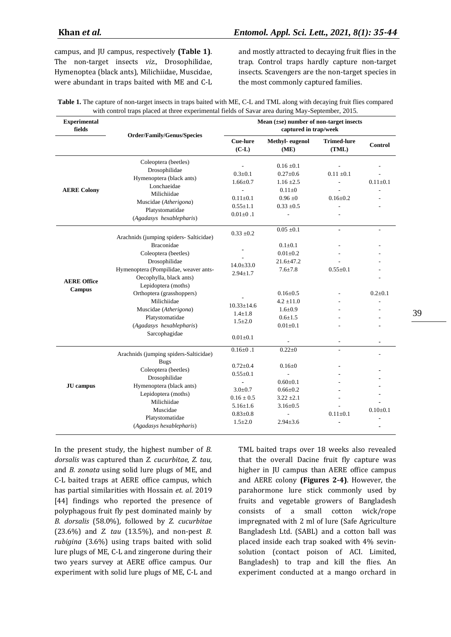campus, and JU campus, respectively **(Table 1)**. The non-target insects *viz.*, Drosophilidae, Hymenoptea (black ants), Milichiidae, Muscidae, were abundant in traps baited with ME and C-L

and mostly attracted to decaying fruit flies in the trap. Control traps hardly capture non-target insects. Scavengers are the non-target species in the most commonly captured families.

| <b>Table 1.</b> The capture of non-target insects in traps baited with ME, C-L and TML along with decaying fruit flies compared |
|---------------------------------------------------------------------------------------------------------------------------------|
| with control traps placed at three experimental fields of Savar area during May-September, 2015.                                |

| <b>Experimental</b><br>fields       | Order/Family/Genus/Species                                                                                                                                                                                                                                                                                                            | Mean $(\pm s\epsilon)$ number of non-target insects<br>captured in trap/week                                                                             |                                                                                                                                                                           |                                                                |                                 |
|-------------------------------------|---------------------------------------------------------------------------------------------------------------------------------------------------------------------------------------------------------------------------------------------------------------------------------------------------------------------------------------|----------------------------------------------------------------------------------------------------------------------------------------------------------|---------------------------------------------------------------------------------------------------------------------------------------------------------------------------|----------------------------------------------------------------|---------------------------------|
|                                     |                                                                                                                                                                                                                                                                                                                                       | Cue-lure<br>$(C-L)$                                                                                                                                      | Methyl-eugenol<br>(ME)                                                                                                                                                    | <b>Trimed-lure</b><br>(TML)                                    | Control                         |
| <b>AERE Colony</b>                  | Coleoptera (beetles)<br>Drosophilidae<br>Hymenoptera (black ants)<br>Lonchaeidae<br>Milichiidae<br>Muscidae (Atherigona)<br>Platystomatidae<br>(Agadasys hexablepharis)                                                                                                                                                               | $0.3 \pm 0.1$<br>$1.66 \pm 0.7$<br>$\overline{a}$<br>$0.11 \pm 0.1$<br>$0.55 \pm 1.1$<br>$0.01 \pm 0.1$                                                  | $0.16 \pm 0.1$<br>$0.27 \pm 0.6$<br>$1.16 \pm 2.5$<br>$0.11 \pm 0$<br>$0.96 \pm 0$<br>$0.33 \pm 0.5$<br>$\frac{1}{2}$                                                     | $0.11 \pm 0.1$<br>$0.16 \pm 0.2$                               | $0.11 \pm 0.1$                  |
| <b>AERE Office</b><br><b>Campus</b> | Arachnids (jumping spiders- Salticidae)<br><b>Braconidae</b><br>Coleoptera (beetles)<br>Drosophilidae<br>Hymenoptera (Pompilidae, weaver ants-<br>Oecophylla, black ants)<br>Lepidoptera (moths)<br>Orthoptera (grasshoppers)<br>Milichiidae<br>Muscidae (Atherigona)<br>Platystomatidae<br>(Agadasys hexablepharis)<br>Sarcophagidae | $0.33 \pm 0.2$<br>$14.0 \pm 33.0$<br>$2.94 \pm 1.7$<br>$10.33 \pm 14.6$<br>$1.4 \pm 1.8$<br>$1.5 \pm 2.0$<br>$0.01 + 0.1$                                | $0.05 \pm 0.1$<br>$0.1 \pm 0.1$<br>$0.01 + 0.2$<br>$21.6 \pm 47.2$<br>$7.6 \pm 7.8$<br>$0.16 \pm 0.5$<br>$4.2 \pm 11.0$<br>$1.6 \pm 0.9$<br>$0.6 \pm 1.5$<br>$0.01 + 0.1$ | $\blacksquare$<br>$0.55 + 0.1$<br>$\qquad \qquad \blacksquare$ | $0.2{\pm}0.1$<br>$\blacksquare$ |
| <b>JU</b> campus                    | Arachnids (jumping spiders-Salticidae)<br><b>Bugs</b><br>Coleoptera (beetles)<br>Drosophilidae<br>Hymenoptera (black ants)<br>Lepidoptera (moths)<br>Milichiidae<br>Muscidae<br>Platystomatidae<br>(Agadasys hexablepharis)                                                                                                           | $0.16 \pm 0.1$<br>$0.72 \pm 0.4$<br>$0.55 \pm 0.1$<br>$\overline{a}$<br>$3.0+0.7$<br>$0.16 \pm 0.5$<br>$5.16 \pm 1.6$<br>$0.83 \pm 0.8$<br>$1.5 \pm 2.0$ | $0.22 \pm 0$<br>$0.16 \pm 0$<br>$0.60 \pm 0.1$<br>$0.66 \pm 0.2$<br>$3.22 \pm 2.1$<br>$3.16 \pm 0.5$<br>$2.94 \pm 3.6$                                                    | $0.11 \pm 0.1$                                                 | $0.10+0.1$                      |

In the present study, the highest number of *B. dorsalis* was captured than *Z. cucurbitae*, *Z. tau,* and *B. zonata* using solid lure plugs of ME, and C-L baited traps at AERE office campus, which has partial similarities with Hossain *et. al*. 2019 [44] findings who reported the presence of polyphagous fruit fly pest dominated mainly by *B. dorsalis* (58.0%)*,* followed by *Z. cucurbitae*  (23.6%) and *Z. tau* (13.5%), and non-pest *B. rubigina* (3.6%) using traps baited with solid lure plugs of ME, C-L and zingerone during their two years survey at AERE office campus. Our experiment with solid lure plugs of ME, C-L and TML baited traps over 18 weeks also revealed that the overall Dacine fruit fly capture was higher in JU campus than AERE office campus and AERE colony **(Figures 2-4)**. However, the parahormone lure stick commonly used by fruits and vegetable growers of Bangladesh consists of a small cotton wick/rope impregnated with 2 ml of lure (Safe Agriculture Bangladesh Ltd. (SABL) and a cotton ball was placed inside each trap soaked with 4% sevinsolution (contact poison of ACI. Limited, Bangladesh) to trap and kill the flies. An experiment conducted at a mango orchard in

39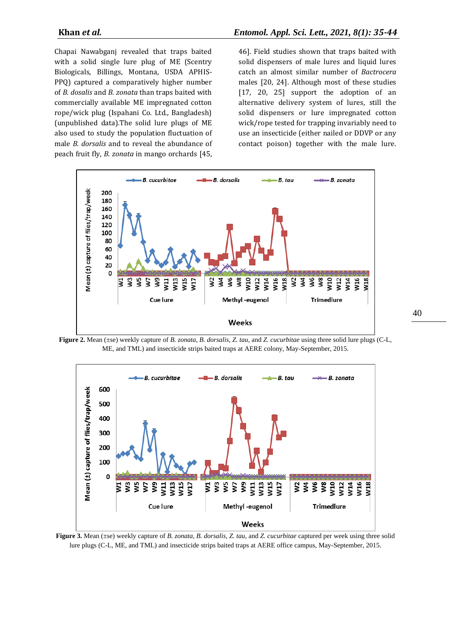Chapai Nawabganj revealed that traps baited with a solid single lure plug of ME (Scentry Biologicals, Billings, Montana, USDA APHIS-PPQ) captured a comparatively higher number of *B. dosalis* and *B. zonata* than traps baited with commercially available ME impregnated cotton rope/wick plug (Ispahani Co. Ltd., Bangladesh) (unpublished data)*.*The solid lure plugs of ME also used to study the population fluctuation of male *B. dorsalis* and to reveal the abundance of peach fruit fly, *B. zonata* in mango orchards [45, 46]. Field studies shown that traps baited with solid dispensers of male lures and liquid lures catch an almost similar number of *Bactrocera*  males [20, 24]. Although most of these studies [17, 20, 25] support the adoption of an alternative delivery system of lures, still the solid dispensers or lure impregnated cotton wick/rope tested for trapping invariably need to use an insecticide (either nailed or DDVP or any contact poison) together with the male lure.



**Figure 2.** Mean (±se) weekly capture of *B. zonata, B. dorsalis, Z. tau,* and *Z. cucurbitae* using three solid lure plugs (C-L, ME, and TML) and insecticide strips baited traps at AERE colony, May-September, 2015.



**Figure 3.** Mean (±se) weekly capture of *B. zonata, B. dorsalis, Z. tau,* and *Z. cucurbitae* captured per week using three solid lure plugs (C-L, ME, and TML) and insecticide strips baited traps at AERE office campus, May-September, 2015.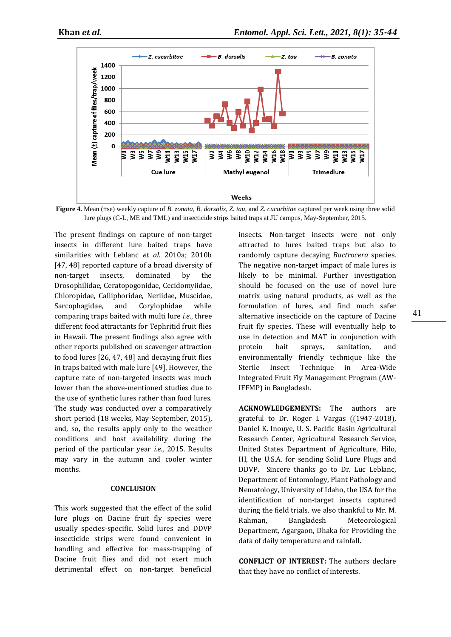

**Figure 4.** Mean (±se) weekly capture of *B. zonata, B. dorsalis, Z. tau,* and *Z. cucurbitae* captured per week using three solid lure plugs (C-L, ME and TML) and insecticide strips baited traps at JU campus, May-September, 2015.

The present findings on capture of non-target insects in different lure baited traps have similarities with Leblanc *et al.* 2010a; 2010b [47, 48] reported capture of a broad diversity of non-target insects, dominated by the Drosophilidae, Ceratopogonidae, Cecidomyiidae, Chloropidae, Calliphoridae, Neriidae, Muscidae, Sarcophagidae, and Corylophidae while comparing traps baited with multi lure *i.e*., three different food attractants for Tephritid fruit flies in Hawaii. The present findings also agree with other reports published on scavenger attraction to food lures [26, 47, 48] and decaying fruit flies in traps baited with male lure [49]. However, the capture rate of non-targeted insects was much lower than the above-mentioned studies due to the use of synthetic lures rather than food lures. The study was conducted over a comparatively short period (18 weeks, May-September, 2015), and, so, the results apply only to the weather conditions and host availability during the period of the particular year *i.e*., 2015. Results may vary in the autumn and cooler winter months.

## **CONCLUSION**

This work suggested that the effect of the solid lure plugs on Dacine fruit fly species were usually species-specific. Solid lures and DDVP insecticide strips were found convenient in handling and effective for mass-trapping of Dacine fruit flies and did not exert much detrimental effect on non-target beneficial insects. Non-target insects were not only attracted to lures baited traps but also to randomly capture decaying *Bactrocera* species. The negative non-target impact of male lures is likely to be minimal. Further investigation should be focused on the use of novel lure matrix using natural products, as well as the formulation of lures, and find much safer alternative insecticide on the capture of Dacine fruit fly species. These will eventually help to use in detection and MAT in conjunction with protein bait sprays, sanitation, and environmentally friendly technique like the Sterile Insect Technique in Area-Wide Integrated Fruit Fly Management Program (AW-IFFMP) in Bangladesh.

**ACKNOWLEDGEMENTS:** The authors are grateful to Dr. Roger I. Vargas ((1947-2018), Daniel K. Inouye, U. S. Pacific Basin Agricultural Research Center, Agricultural Research Service, United States Department of Agriculture, Hilo, HI, the U.S.A. for sending Solid Lure Plugs and DDVP. Sincere thanks go to Dr. Luc Leblanc, Department of Entomology, Plant Pathology and Nematology, University of Idaho, the USA for the identification of non-target insects captured during the field trials. we also thankful to Mr. M. Rahman, Bangladesh Meteorological Department, Agargaon, Dhaka for Providing the data of daily temperature and rainfall.

**CONFLICT OF INTEREST:** The authors declare that they have no conflict of interests.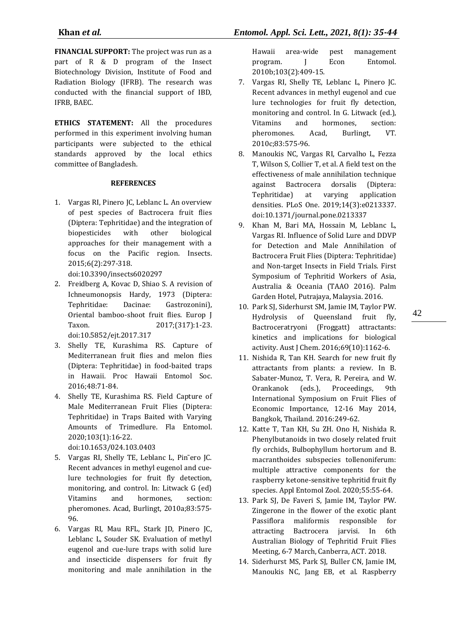**FINANCIAL SUPPORT:** The project was run as a part of R & D program of the Insect Biotechnology Division, Institute of Food and Radiation Biology (IFRB). The research was conducted with the financial support of IBD, IFRB, BAEC.

**ETHICS STATEMENT:** All the procedures performed in this experiment involving human participants were subjected to the ethical standards approved by the local ethics committee of Bangladesh.

## **REFERENCES**

1. Vargas RI, Pinero JC, Leblanc L. An overview of pest species of Bactrocera fruit flies (Diptera: Tephritidae) and the integration of biopesticides with other biological approaches for their management with a focus on the Pacific region. Insects. 2015;6(2):297-318.

doi:10.3390/insects6020297

- 2. Freidberg A, Kovac D, Shiao S. A revision of Ichneumonopsis Hardy, 1973 (Diptera: Tephritidae: Dacinae: Gastrozonini), Oriental bamboo-shoot fruit flies. Europ J Taxon. 2017;(317):1-23. doi:10.5852/ejt.2017.317
- 3. Shelly TE, Kurashima RS. Capture of Mediterranean fruit flies and melon flies (Diptera: Tephritidae) in food-baited traps in Hawaii. Proc Hawaii Entomol Soc. 2016;48:71-84.
- 4. Shelly TE, Kurashima RS. Field Capture of Male Mediterranean Fruit Flies (Diptera: Tephritidae) in Traps Baited with Varying Amounts of Trimedlure. Fla Entomol. 2020;103(1):16-22.

doi:10.1653/024.103.0403

- 5. Vargas RI, Shelly TE, Leblanc L, Pin˜ero JC. Recent advances in methyl eugenol and cuelure technologies for fruit fly detection, monitoring, and control. In: Litwack G (ed) Vitamins and hormones, section: pheromones. Acad, Burlingt, 2010a;83:575- 96.
- 6. Vargas RI, Mau RFL, Stark JD, Pinero JC, Leblanc L, Souder SK. Evaluation of methyl eugenol and cue-lure traps with solid lure and insecticide dispensers for fruit fly monitoring and male annihilation in the

Hawaii area-wide pest management program. J Econ Entomol. 2010b;103(2):409-15.

- 7. Vargas RI, Shelly TE, Leblanc L, Pinero JC. Recent advances in methyl eugenol and cue lure technologies for fruit fly detection, monitoring and control. In G. Litwack (ed.), Vitamins and hormones, section: pheromones. Acad, Burlingt, VT. 2010c;83:575-96.
- 8. Manoukis NC, Vargas RI, Carvalho L, Fezza T, Wilson S, Collier T, et al. A field test on the effectiveness of male annihilation technique against Bactrocera dorsalis (Diptera: Tephritidae) at varying application densities. PLoS One. 2019;14(3):e0213337. doi:10.1371/journal.pone.0213337
- 9. Khan M, Bari MA, Hossain M, Leblanc L, Vargas RI. Influence of Solid Lure and DDVP for Detection and Male Annihilation of Bactrocera Fruit Flies (Diptera: Tephritidae) and Non-target Insects in Field Trials. First Symposium of Tephritid Workers of Asia, Australia & Oceania (TAAO 2016). Palm Garden Hotel, Putrajaya, Malaysia. 2016.
- 10. Park SJ, Siderhurst SM, Jamie IM, Taylor PW. Hydrolysis of Queensland fruit fly, Bactroceratryoni (Froggatt) attractants: kinetics and implications for biological activity. Aust J Chem. 2016;69(10):1162-6.
- 11. Nishida R, Tan KH. Search for new fruit fly attractants from plants: a review. In B. Sabater-Munoz, T. Vera, R. Pereira, and W. Orankanok (eds.), Proceedings, 9th International Symposium on Fruit Flies of Economic Importance, 12-16 May 2014, Bangkok, Thailand. 2016:249-62.
- 12. Katte T, Tan KH, Su ZH. Ono H, Nishida R. Phenylbutanoids in two closely related fruit fly orchids, Bulbophyllum hortorum and B. macranthoides subspecies tollenoniferum: multiple attractive components for the raspberry ketone-sensitive tephritid fruit fly species. Appl Entomol Zool. 2020;55:55-64.
- 13. Park SJ, De Faveri S, Jamie IM, Taylor PW. Zingerone in the flower of the exotic plant Passiflora maliformis responsible for attracting Bactrocera jarvisi. In 6th Australian Biology of Tephritid Fruit Flies Meeting, 6-7 March, Canberra, ACT. 2018.
- 14. Siderhurst MS, Park SJ, Buller CN, Jamie IM, Manoukis NC, Jang EB, et al. Raspberry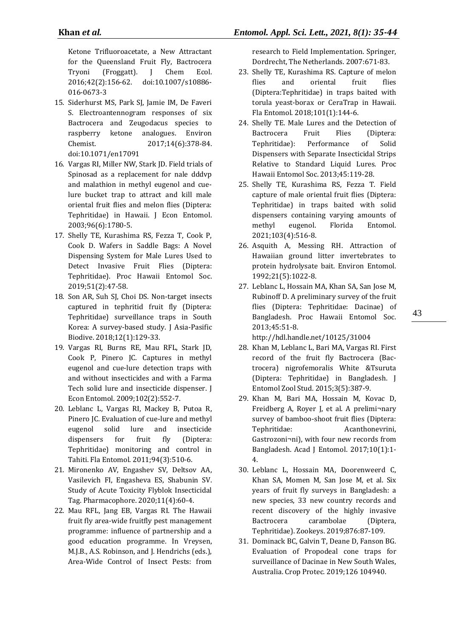Ketone Trifluoroacetate, a New Attractant for the Queensland Fruit Fly, Bactrocera Tryoni (Froggatt). J Chem Ecol. 2016;42(2):156-62. doi:10.1007/s10886- 016-0673-3

- 15. Siderhurst MS, Park SJ, Jamie IM, De Faveri S. Electroantennogram responses of six Bactrocera and Zeugodacus species to raspberry ketone analogues. Environ Chemist. 2017;14(6):378-84. doi:10.1071/en17091
- 16. Vargas RI, Miller NW, Stark JD. Field trials of Spinosad as a replacement for nale dddvp and malathion in methyl eugenol and cuelure bucket trap to attract and kill male oriental fruit flies and melon flies (Diptera: Tephritidae) in Hawaii. J Econ Entomol. 2003;96(6):1780-5.
- 17. Shelly TE, Kurashima RS, Fezza T, Cook P, Cook D. Wafers in Saddle Bags: A Novel Dispensing System for Male Lures Used to Detect Invasive Fruit Flies (Diptera: Tephritidae). Proc Hawaii Entomol Soc. 2019;51(2):47-58.
- 18. Son AR, Suh SJ, Choi DS. Non-target insects captured in tephritid fruit fly (Diptera: Tephritidae) surveillance traps in South Korea: A survey-based study. J Asia-Pasific Biodive. 2018;12(1):129-33.
- 19. Vargas RI, Burns RE, Mau RFL, Stark JD, Cook P, Pinero JC. Captures in methyl eugenol and cue-lure detection traps with and without insecticides and with a Farma Tech solid lure and insecticide dispenser. J Econ Entomol. 2009;102(2):552-7.
- 20. Leblanc L, Vargas RI, Mackey B, Putoa R, Pinero JC. Evaluation of cue-lure and methyl eugenol solid lure and insecticide dispensers for fruit fly (Diptera: Tephritidae) monitoring and control in Tahiti. Fla Entomol. 2011;94(3):510-6.
- 21. Mironenko АV, Engashev SV, Deltsov AA, Vasilevich FI, Engasheva ES, Shabunin SV. Study of Acute Toxicity Flyblok Insecticidal Tag. Pharmacophore. 2020;11(4):60-4.
- 22. Mau RFL, Jang EB, Vargas RI. The Hawaii fruit fly area-wide fruitfly pest management programme: influence of partnership and a good education programme. In Vreysen, M.J.B., A.S. Robinson, and J. Hendrichs (eds.), Area-Wide Control of Insect Pests: from

research to Field Implementation. Springer, Dordrecht, The Netherlands. 2007:671-83.

- 23. Shelly TE, Kurashima RS. Capture of melon flies and oriental fruit flies (Diptera:Tephritidae) in traps baited with torula yeast-borax or CeraTrap in Hawaii. Fla Entomol. 2018;101(1):144-6.
- 24. Shelly TE. Male Lures and the Detection of Bactrocera Fruit Flies (Diptera: Tephritidae): Performance of Solid Dispensers with Separate Insecticidal Strips Relative to Standard Liquid Lures. Proc Hawaii Entomol Soc. 2013;45:119-28.
- 25. Shelly TE, Kurashima RS, Fezza T. Field capture of male oriental fruit flies (Diptera: Tephritidae) in traps baited with solid dispensers containing varying amounts of methyl eugenol. Florida Entomol. 2021;103(4):516-8.
- 26. Asquith A, Messing RH. Attraction of Hawaiian ground litter invertebrates to protein hydrolysate bait. Environ Entomol. 1992;21(5):1022-8.
- 27. Leblanc L, Hossain MA, Khan SA, San Jose M, Rubinoff D. A preliminary survey of the fruit flies (Diptera: Tephritidae: Dacinae) of Bangladesh. Proc Hawaii Entomol Soc. 2013;45:51-8.

http://hdl.handle.net/10125/31004

- 28. Khan M, Leblanc L, Bari MA, Vargas RI. First record of the fruit fly Bactrocera (Bactrocera) nigrofemoralis White &Tsuruta (Diptera: Tephritidae) in Bangladesh. J Entomol Zool Stud. 2015;3(5):387-9.
- 29. Khan M, Bari MA, Hossain M, Kovac D, Freidberg A, Royer J, et al. A prelimi¬nary survey of bamboo-shoot fruit flies (Diptera: Tephritidae: Acanthonevrini, Gastrozoni¬ni), with four new records from Bangladesh. Acad J Entomol. 2017;10(1):1- 4.
- 30. Leblanc L, Hossain MA, Doorenweerd C, Khan SA, Momen M, San Jose M, et al. Six years of fruit fly surveys in Bangladesh: a new species, 33 new country records and recent discovery of the highly invasive Bactrocera carambolae (Diptera, Tephritidae). Zookeys. 2019;876:87-109.
- 31. Dominack BC, Galvin T, Deane D, Fanson BG. Evaluation of Propodeal cone traps for surveillance of Dacinae in New South Wales, Australia. Crop Protec. 2019;126 104940.

43